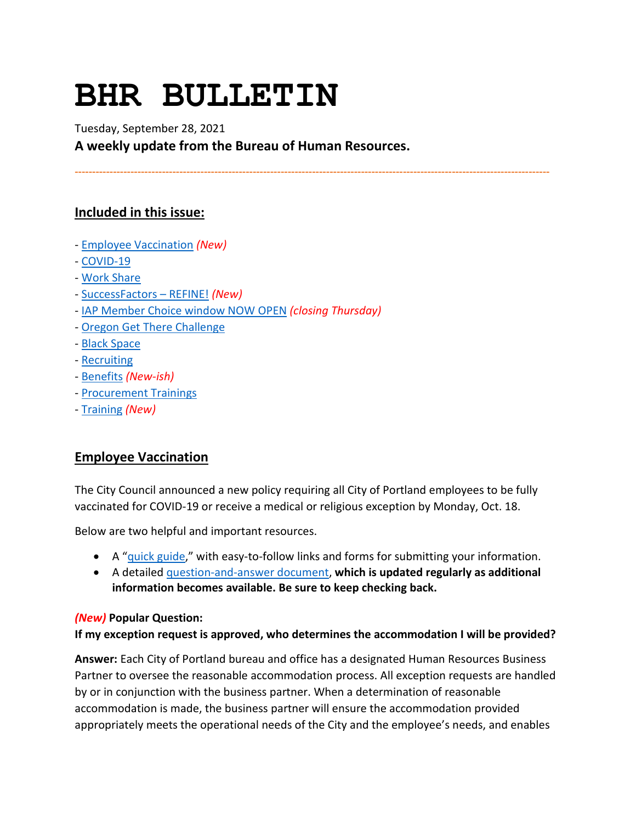# **BHR BULLETIN**

Tuesday, September 28, 2021 **A weekly update from the Bureau of Human Resources.**

**----------------------------------------------------------------------------------------------------------------------------------------**

# **Included in this issue:**

- [Employee Vaccination](#page-0-0) *(New)*
- [COVID-19](#page-1-0)
- [Work Share](#page-2-0)
- [SuccessFactors –](#page-3-0) REFINE! *(New)*
- [IAP Member Choice window NOW OPEN](#page-4-0) *(closing Thursday)*
- *-* [Oregon Get There Challenge](#page-5-0)
- [Black Space](#page-5-1)
- [Recruiting](#page-6-0)
- [Benefits](#page-6-1) *(New-ish)*
- [Procurement Trainings](#page-7-0)
- [Training](#page-8-0) *(New)*

# <span id="page-0-0"></span>**Employee Vaccination**

The City Council announced a new policy requiring all City of Portland employees to be fully vaccinated for COVID-19 or receive a medical or religious exception by Monday, Oct. 18.

Below are two helpful and important resources.

- A ["quick guide,](https://www.portland.gov/bhr/vaccinationquickguide)" with easy-to-follow links and forms for submitting your information.
- A detailed [question-and-answer document,](https://www.portland.gov/bhr/vaccinationfaq) **which is updated regularly as additional information becomes available. Be sure to keep checking back.**

#### *(New)* **Popular Question:**

**If my exception request is approved, who determines the accommodation I will be provided?**

**Answer:** Each City of Portland bureau and office has a designated Human Resources Business Partner to oversee the reasonable accommodation process. All exception requests are handled by or in conjunction with the business partner. When a determination of reasonable accommodation is made, the business partner will ensure the accommodation provided appropriately meets the operational needs of the City and the employee's needs, and enables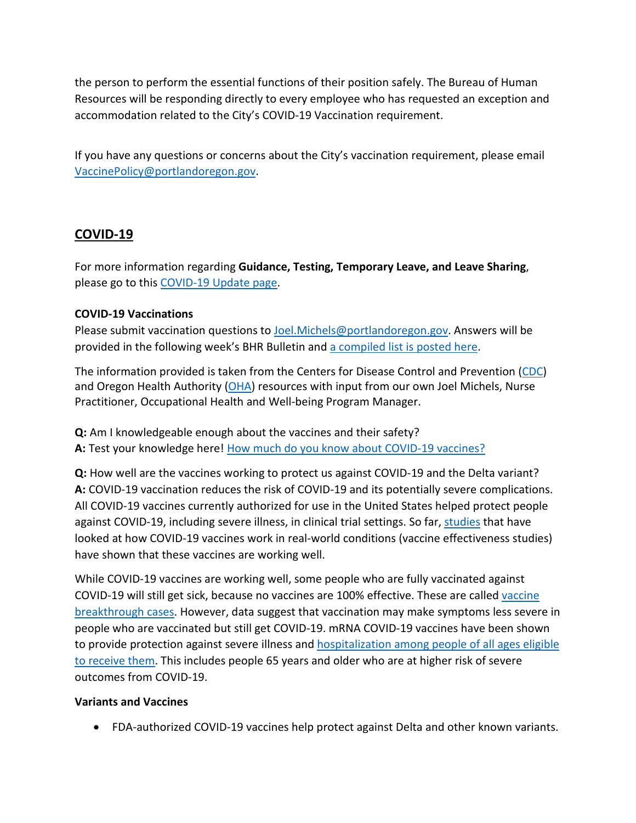the person to perform the essential functions of their position safely. The Bureau of Human Resources will be responding directly to every employee who has requested an exception and accommodation related to the City's COVID-19 Vaccination requirement.

If you have any questions or concerns about the City's vaccination requirement, please email [VaccinePolicy@portlandoregon.gov.](mailto:VaccinePolicy@portlandoregon.gov)

# <span id="page-1-0"></span>**COVID-19**

For more information regarding **Guidance, Testing, Temporary Leave, and Leave Sharing**, please go to this [COVID-19 Update page.](https://www.portlandoregon.gov/bhr/article/779927)

# **COVID-19 Vaccinations**

Please submit vaccination questions to [Joel.Michels@portlandoregon.gov.](mailto:Joel.Michels@portlandoregon.gov) Answers will be provided in the following week's BHR Bulletin an[d a compiled list is posted here.](https://www.portlandoregon.gov/bhr/article/785664)

The information provided is taken from the Centers for Disease Control and Prevention [\(CDC\)](https://www.cdc.gov/coronavirus/2019-ncov/vaccines/index.html) and Oregon Health Authority [\(OHA\)](https://covidvaccine.oregon.gov/) resources with input from our own Joel Michels, Nurse Practitioner, Occupational Health and Well-being Program Manager.

**Q:** Am I knowledgeable enough about the vaccines and their safety? A: Test your knowledge here! [How much do you know about COVID-19 vaccines?](https://www.cdc.gov/coronavirus/2019-ncov/vaccines/quiz-how-much-do-you-know.html)

**Q:** How well are the vaccines working to protect us against COVID-19 and the Delta variant? **A:** COVID-19 vaccination reduces the risk of COVID-19 and its potentially severe complications. All COVID-19 vaccines currently authorized for use in the United States helped protect people against COVID-19, including severe illness, in clinical trial settings. So far, [studies](https://www.cdc.gov/vaccines/covid-19/effectiveness-research/protocols.html) that have looked at how COVID-19 vaccines work in real-world conditions (vaccine effectiveness studies) have shown that these vaccines are working well.

While COVID-19 vaccines are working well, some people who are fully vaccinated against COVID-19 will still get sick, because no vaccines are 100% effective. These are called [vaccine](https://www.cdc.gov/coronavirus/2019-ncov/vaccines/effectiveness/why-measure-effectiveness/breakthrough-cases.html)  [breakthrough cases.](https://www.cdc.gov/coronavirus/2019-ncov/vaccines/effectiveness/why-measure-effectiveness/breakthrough-cases.html) However, data suggest that vaccination may make symptoms less severe in people who are vaccinated but still get COVID-19. mRNA COVID-19 vaccines have been shown to provide protection against severe illness and hospitalization among people of all ages eligible [to receive them.](https://www.cdc.gov/mmwr/volumes/70/wr/mm7018e1.htm?s_cid=mm7018e1_w) This includes people 65 years and older who are at higher risk of severe outcomes from COVID-19.

## **Variants and Vaccines**

• FDA-authorized COVID-19 vaccines help protect against Delta and other known variants.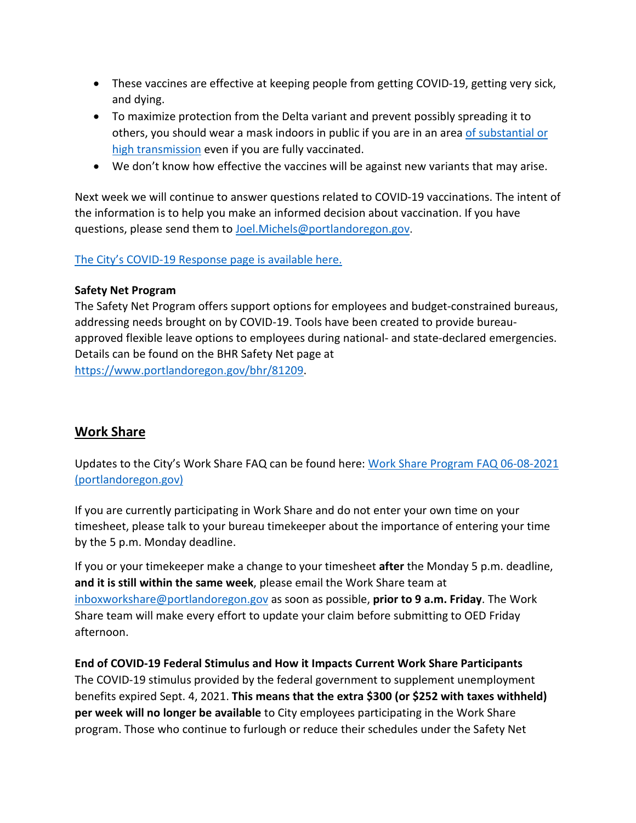- These vaccines are effective at keeping people from getting COVID-19, getting very sick, and dying.
- To maximize protection from the Delta variant and prevent possibly spreading it to others, you should wear a mask indoors in public if you are in an area [of substantial or](https://covid.cdc.gov/covid-data-tracker/#county-view)  [high transmission](https://covid.cdc.gov/covid-data-tracker/#county-view) even if you are fully vaccinated.
- We don't know how effective the vaccines will be against new variants that may arise.

Next week we will continue to answer questions related to COVID-19 vaccinations. The intent of the information is to help you make an informed decision about vaccination. If you have questions, please send them to **Joel.Michels@portlandoregon.gov**.

## [The City's COVID-19 Response page is available here.](https://www.portlandoregon.gov/bhr/index.cfm?&c=81055)

#### **Safety Net Program**

The Safety Net Program offers support options for employees and budget-constrained bureaus, addressing needs brought on by COVID-19. Tools have been created to provide bureauapproved flexible leave options to employees during national- and state-declared emergencies. Details can be found on the BHR Safety Net page at [https://www.portlandoregon.gov/bhr/81209.](https://www.portlandoregon.gov/bhr/81209)

# <span id="page-2-0"></span>**Work Share**

Updates to the City's Work Share FAQ can be found here: [Work Share Program FAQ 06-08-2021](https://www.portlandoregon.gov/bhr/article/761976)  [\(portlandoregon.gov\)](https://www.portlandoregon.gov/bhr/article/761976)

If you are currently participating in Work Share and do not enter your own time on your timesheet, please talk to your bureau timekeeper about the importance of entering your time by the 5 p.m. Monday deadline.

If you or your timekeeper make a change to your timesheet **after** the Monday 5 p.m. deadline, **and it is still within the same week**, please email the Work Share team at [inboxworkshare@portlandoregon.gov](mailto:inboxworkshare@portlandoregon.gov) as soon as possible, **prior to 9 a.m. Friday**. The Work Share team will make every effort to update your claim before submitting to OED Friday afternoon.

**End of COVID-19 Federal Stimulus and How it Impacts Current Work Share Participants** The COVID-19 stimulus provided by the federal government to supplement unemployment benefits expired Sept. 4, 2021. **This means that the extra \$300 (or \$252 with taxes withheld) per week will no longer be available** to City employees participating in the Work Share program. Those who continue to furlough or reduce their schedules under the Safety Net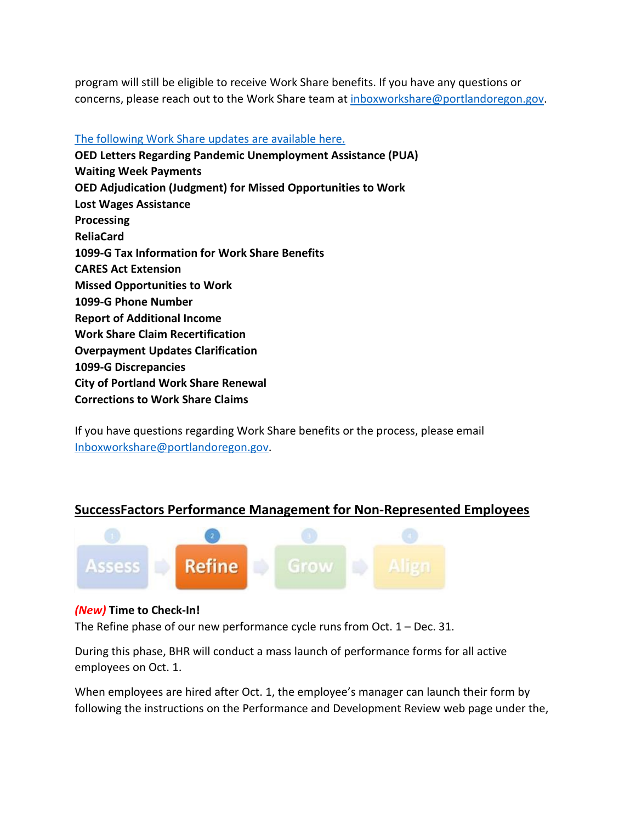program will still be eligible to receive Work Share benefits. If you have any questions or concerns, please reach out to the Work Share team at [inboxworkshare@portlandoregon.gov.](mailto:inboxworkshare@portlandoregon.gov)

#### [The following Work Share updates are available here.](https://www.portlandoregon.gov/bhr/article/785595)

**OED Letters Regarding Pandemic Unemployment Assistance (PUA) Waiting Week Payments OED Adjudication (Judgment) for Missed Opportunities to Work Lost Wages Assistance Processing ReliaCard 1099-G Tax Information for Work Share Benefits CARES Act Extension Missed Opportunities to Work 1099-G Phone Number Report of Additional Income Work Share Claim Recertification Overpayment Updates Clarification 1099-G Discrepancies City of Portland Work Share Renewal Corrections to Work Share Claims**

If you have questions regarding Work Share benefits or the process, please email [Inboxworkshare@portlandoregon.gov.](mailto:Inboxworkshare@portlandoregon.gov)

# <span id="page-3-0"></span>**SuccessFactors Performance Management for Non-Represented Employees**



## *(New)* **Time to Check-In!**

The Refine phase of our new performance cycle runs from Oct. 1 – Dec. 31.

During this phase, BHR will conduct a mass launch of performance forms for all active employees on Oct. 1.

When employees are hired after Oct. 1, the employee's manager can launch their form by following the instructions on the Performance and Development Review web page under the,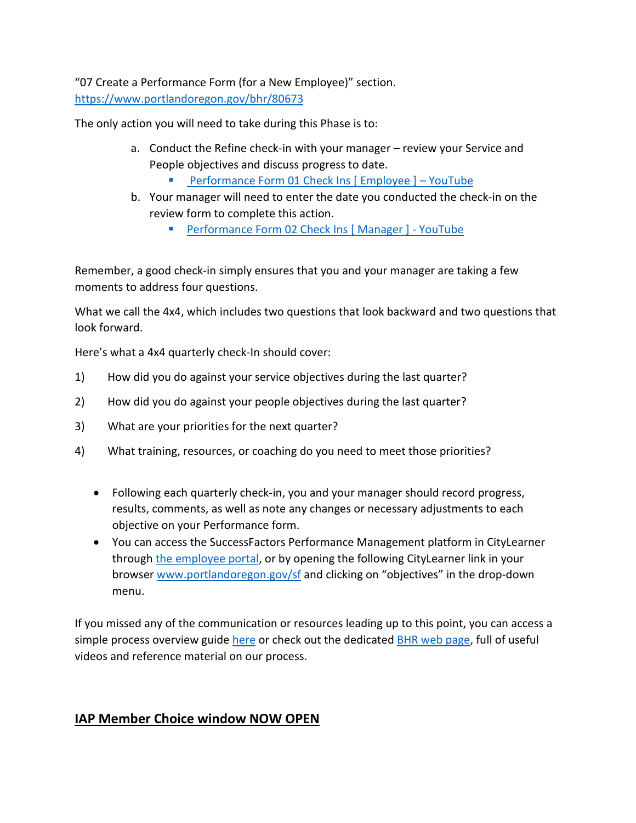"07 Create a Performance Form (for a New Employee)" section. <https://www.portlandoregon.gov/bhr/80673>

The only action you will need to take during this Phase is to:

- a. Conduct the Refine check-in with your manager review your Service and People objectives and discuss progress to date.
	- [Performance Form 01 Check Ins \[ Employee \] –](https://www.youtube.com/watch?v=jsjxScZqKqU) YouTube
- b. Your manager will need to enter the date you conducted the check-in on the review form to complete this action.
	- [Performance Form 02 Check Ins \[ Manager \] -](https://www.youtube.com/watch?v=Knt9VreiIYU) YouTube

Remember, a good check-in simply ensures that you and your manager are taking a few moments to address four questions.

What we call the 4x4, which includes two questions that look backward and two questions that look forward.

Here's what a 4x4 quarterly check-In should cover:

- 1) How did you do against your service objectives during the last quarter?
- 2) How did you do against your people objectives during the last quarter?
- 3) What are your priorities for the next quarter?
- 4) What training, resources, or coaching do you need to meet those priorities?
	- Following each quarterly check-in, you and your manager should record progress, results, comments, as well as note any changes or necessary adjustments to each objective on your Performance form.
	- You can access the SuccessFactors Performance Management platform in CityLearner through [the employee portal,](https://www.portlandoregon.gov/employee/index.cfm?) or by opening the following CityLearner link in your browser [www.portlandoregon.gov/sf](http://www.portlandoregon.gov/sf) and clicking on "objectives" in the drop-down menu.

If you missed any of the communication or resources leading up to this point, you can access a simple process overview guide [here](https://www.portlandoregon.gov/bhr/article/758125) or check out the dedicated [BHR web page,](https://www.portlandoregon.gov/bhr/index.cfm?&c=80673) full of useful videos and reference material on our process.

# <span id="page-4-0"></span>**IAP Member Choice window NOW OPEN**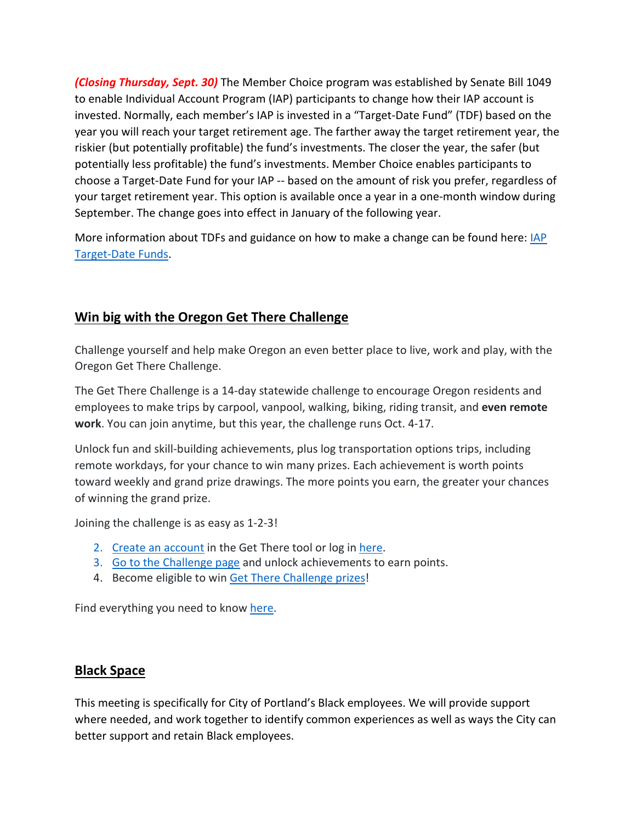*(Closing Thursday, Sept. 30)* The Member Choice program was established by Senate Bill 1049 to enable Individual Account Program (IAP) participants to change how their IAP account is invested. Normally, each member's IAP is invested in a "Target-Date Fund" (TDF) based on the year you will reach your target retirement age. The farther away the target retirement year, the riskier (but potentially profitable) the fund's investments. The closer the year, the safer (but potentially less profitable) the fund's investments. Member Choice enables participants to choose a Target-Date Fund for your IAP -- based on the amount of risk you prefer, regardless of your target retirement year. This option is available once a year in a one-month window during September. The change goes into effect in January of the following year.

More information about TDFs and guidance on how to make a change can be found here: IAP [Target-Date Funds.](https://www.oregon.gov/pers/Pages/Financials/IAP-Target-Date-Funds.aspx)

# <span id="page-5-0"></span>**Win big with the Oregon Get There Challenge**

Challenge yourself and help make Oregon an even better place to live, work and play, with the Oregon Get There Challenge.

The Get There Challenge is a 14-day statewide challenge to encourage Oregon residents and employees to make trips by carpool, vanpool, walking, biking, riding transit, and **even remote work**. You can join anytime, but this year, the challenge runs Oct. 4-17.

Unlock fun and skill-building achievements, plus log transportation options trips, including remote workdays, for your chance to win many prizes. Each achievement is worth points toward weekly and grand prize drawings. The more points you earn, the greater your chances of winning the grand prize.

Joining the challenge is as easy as 1-2-3!

- 2. [Create an account](https://getthere.rideamigos.com/#/) in the Get There tool or log in [here.](https://getthere.rideamigos.com/#/)
- 3. [Go to the Challenge page](https://getthere.rideamigos.com/#/pages/2021GetThereChallenge) and unlock achievements to earn points.
- 4. Become eligible to win [Get There Challenge prizes!](https://getthereoregon.org/prizes/)

Find everything you need to know [here.](https://getthereoregon.org/challenge/)

# <span id="page-5-1"></span>**Black Space**

This meeting is specifically for City of Portland's Black employees. We will provide support where needed, and work together to identify common experiences as well as ways the City can better support and retain Black employees.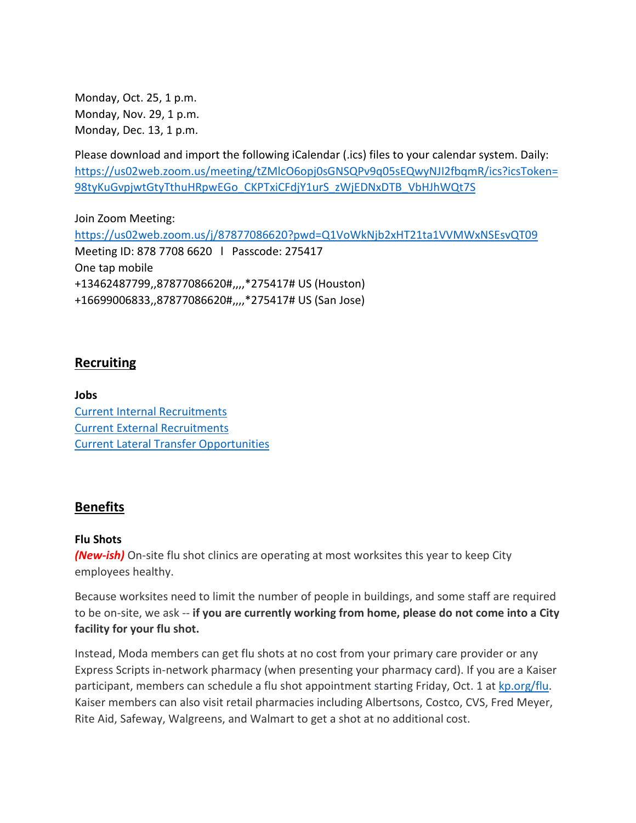Monday, Oct. 25, 1 p.m. Monday, Nov. 29, 1 p.m. Monday, Dec. 13, 1 p.m.

Please download and import the following iCalendar (.ics) files to your calendar system. Daily: [https://us02web.zoom.us/meeting/tZMlcO6opj0sGNSQPv9q05sEQwyNJI2fbqmR/ics?icsToken=](https://us02web.zoom.us/meeting/tZMlcO6opj0sGNSQPv9q05sEQwyNJI2fbqmR/ics?icsToken=98tyKuGvpjwtGtyTthuHRpwEGo_CKPTxiCFdjY1urS_zWjEDNxDTB_VbHJhWQt7S) [98tyKuGvpjwtGtyTthuHRpwEGo\\_CKPTxiCFdjY1urS\\_zWjEDNxDTB\\_VbHJhWQt7S](https://us02web.zoom.us/meeting/tZMlcO6opj0sGNSQPv9q05sEQwyNJI2fbqmR/ics?icsToken=98tyKuGvpjwtGtyTthuHRpwEGo_CKPTxiCFdjY1urS_zWjEDNxDTB_VbHJhWQt7S)

Join Zoom Meeting: <https://us02web.zoom.us/j/87877086620?pwd=Q1VoWkNjb2xHT21ta1VVMWxNSEsvQT09> Meeting ID: 878 7708 6620 l Passcode: 275417 One tap mobile +13462487799,,87877086620#,,,,\*275417# US (Houston) +16699006833,,87877086620#,,,,\*275417# US (San Jose)

# <span id="page-6-0"></span>**Recruiting**

**Jobs** [Current Internal Recruitments](https://www.governmentjobs.com/careers/portlandor/promotionaljobs) [Current External Recruitments](https://www.governmentjobs.com/careers/portlandor?) [Current Lateral Transfer Opportunities](https://www.governmentjobs.com/careers/portlandor/transferjobs)

## <span id="page-6-1"></span>**Benefits**

#### **Flu Shots**

*(New-ish)* On-site flu shot clinics are operating at most worksites this year to keep City employees healthy.

Because worksites need to limit the number of people in buildings, and some staff are required to be on-site, we ask -- **if you are currently working from home, please do not come into a City facility for your flu shot.**

Instead, Moda members can get flu shots at no cost from your primary care provider or any Express Scripts in-network pharmacy (when presenting your pharmacy card). If you are a Kaiser participant, members can schedule a flu shot appointment starting Friday, Oct. 1 at [kp.org/flu.](https://healthy.kaiserpermanente.org/oregon-washington/health-wellness/flu) Kaiser members can also visit retail pharmacies including Albertsons, Costco, CVS, Fred Meyer, Rite Aid, Safeway, Walgreens, and Walmart to get a shot at no additional cost.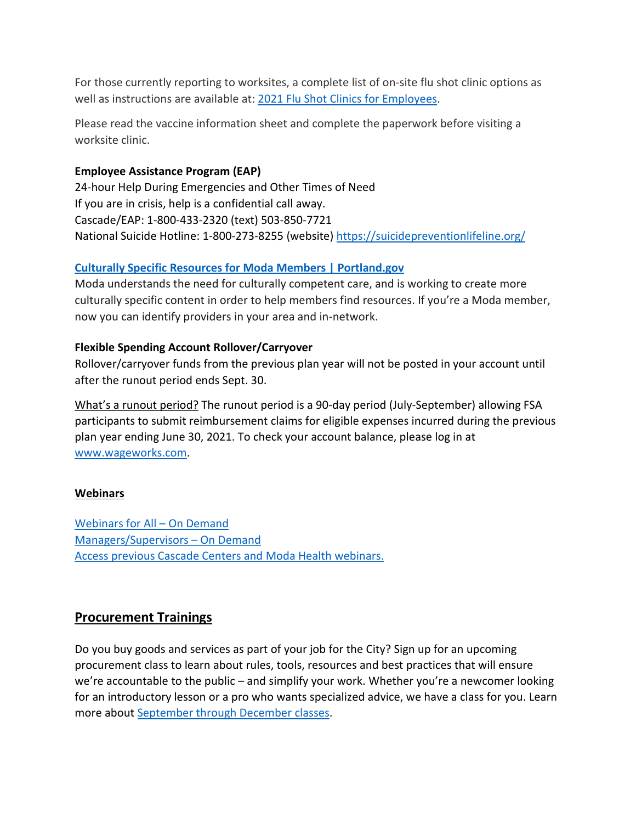For those currently reporting to worksites, a complete list of on-site flu shot clinic options as well as instructions are available at: [2021 Flu Shot Clinics for Employees.](https://www.portland.gov/bhr/benefit-offerings/events/2021/9/15/2021-flu-shot-clinics-employees)

Please read the vaccine information sheet and complete the paperwork before visiting a worksite clinic.

## **Employee Assistance Program (EAP)**

24-hour Help During Emergencies and Other Times of Need If you are in crisis, help is a confidential call away. Cascade/EAP: 1-800-433-2320 (text) 503-850-7721 National Suicide Hotline: 1-800-273-8255 (website) <https://suicidepreventionlifeline.org/>

# **[Culturally Specific Resources for Moda Members | Portland.gov](https://www.portland.gov/bhr/benefit-offerings/news/2021/8/17/culturally-specific-resources-moda-members-0)**

Moda understands the need for culturally competent care, and is working to create more culturally specific content in order to help members find resources. If you're a Moda member, now you can identify providers in your area and in-network.

# **Flexible Spending Account Rollover/Carryover**

Rollover/carryover funds from the previous plan year will not be posted in your account until after the runout period ends Sept. 30.

What's a runout period? The runout period is a 90-day period (July-September) allowing FSA participants to submit reimbursement claims for eligible expenses incurred during the previous plan year ending June 30, 2021. To check your account balance, please log in at [www.wageworks.com.](http://www.wageworks.com/)

# **Webinars**

[Webinars for All –](https://cascade-gateway.lifeadvantages.net/module.php/core/loginuserpass.php?AuthState=_3ce03a5425cee12e62d0304fc638e4faf53e14890d%3Ahttps%3A%2F%2Fcascade-gateway.lifeadvantages.net%2Fsaml2%2Fidp%2FSSOService.php%3Fspentityid%3Dhttps%253A%252F%252Fsaml-01.personaladvantage.com%252Fsp%26cookieTime%3D1625593352%26RelayState%3Dss%253Amem%253A1d8e1b0ec14601a8153ab04497bc5fd0f0d50a5926308558f40d35a41079c199) On Demand [Managers/Supervisors –](https://www.portlandoregon.gov/bhr/article/750308) On Deman[d](https://www.portlandoregon.gov/bhr/article/750308) **[Access previous Cascade Centers and Moda Health webinars.](https://www.portlandoregon.gov/bhr/index.cfm?&c=79368)** 

# <span id="page-7-0"></span>**Procurement Trainings**

Do you buy goods and services as part of your job for the City? Sign up for an upcoming procurement class to learn about rules, tools, resources and best practices that will ensure we're accountable to the public – and simplify your work. Whether you're a newcomer looking for an introductory lesson or a pro who wants specialized advice, we have a class for you. Learn more about [September through December classes.](https://www.portlandoregon.gov/brfs/index.cfm?&a=780678)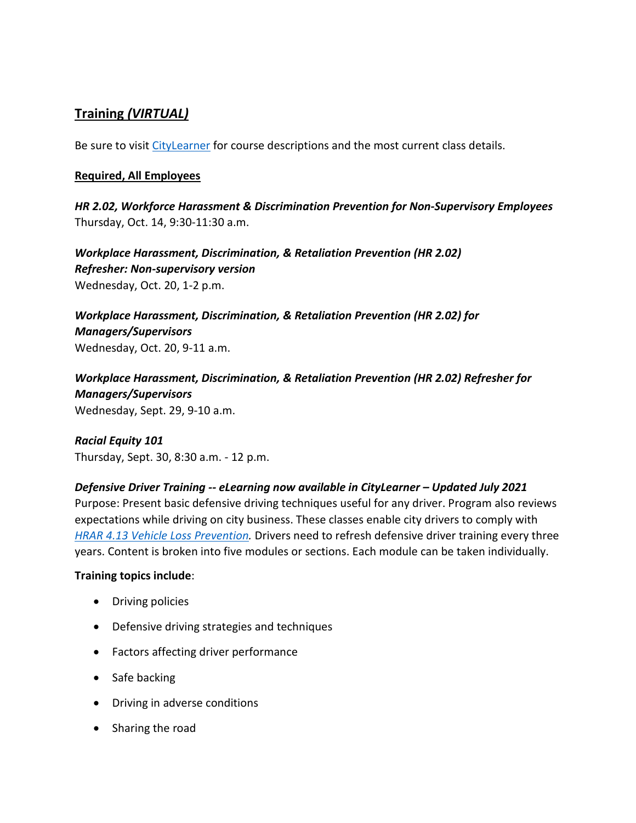# <span id="page-8-0"></span>**Training** *(VIRTUAL)*

Be sure to visit *CityLearner* for course descriptions and the most current class details.

#### **Required, All Employees**

*HR 2.02, Workforce Harassment & Discrimination Prevention for Non-Supervisory Employees* Thursday, Oct. 14, 9:30-11:30 a.m.

*Workplace Harassment, Discrimination, & Retaliation Prevention (HR 2.02) Refresher: Non-supervisory version*  Wednesday, Oct. 20, 1-2 p.m.

*Workplace Harassment, Discrimination, & Retaliation Prevention (HR 2.02) for Managers/Supervisors*  Wednesday, Oct. 20, 9-11 a.m.

*Workplace Harassment, Discrimination, & Retaliation Prevention (HR 2.02) Refresher for Managers/Supervisors*  Wednesday, Sept. 29, 9-10 a.m.

*Racial Equity 101* Thursday, Sept. 30, 8:30 a.m. - 12 p.m.

## *Defensive Driver Training -- eLearning now available in CityLearner – Updated July 2021*

Purpose: Present basic defensive driving techniques useful for any driver. Program also reviews expectations while driving on city business. These classes enable city drivers to comply with *[HRAR 4.13 Vehicle Loss Prevention.](http://www.portlandoregon.gov/?mode=search&search_action=SearchResults&top_category_tree_id=25777&filter_category_tree_id=25777&search_category_tree_id=25777&search_words=HRAR+4.13+Vehicle+Loss+Prevention&submit=Search)* Drivers need to refresh defensive driver training every three years. Content is broken into five modules or sections. Each module can be taken individually.

#### **Training topics include**:

- Driving policies
- Defensive driving strategies and techniques
- Factors affecting driver performance
- Safe backing
- Driving in adverse conditions
- Sharing the road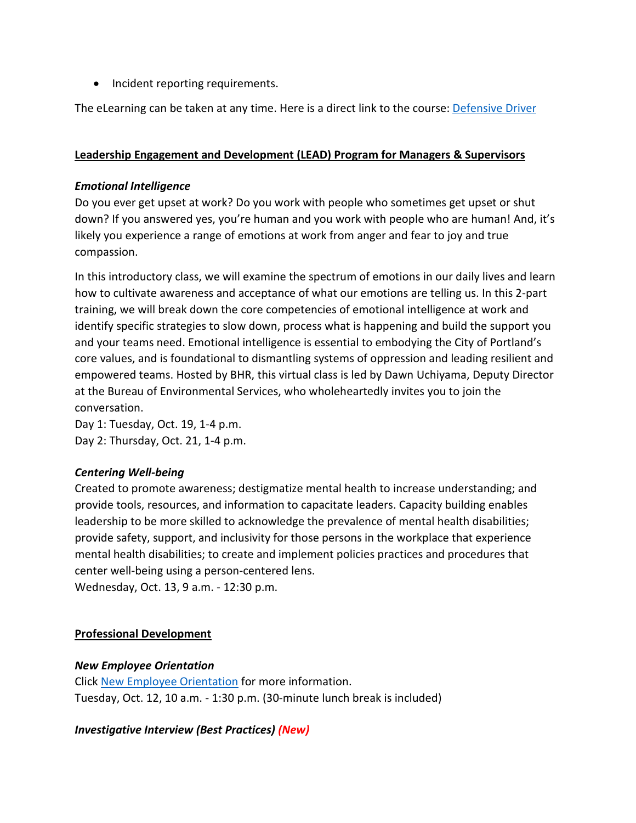• Incident reporting requirements.

The eLearning can be taken at any time. Here is a direct link to the course: [Defensive Driver](https://cityofport.plateau.com/learning/user/common/viewItemDetails.do?OWASP_CSRFTOKEN=5M1O-5ANN-0TLU-3QOL-OISM-MYFY-1V3A-L7M9&componentID=LMS61011177&componentTypeID=ELRN&fromSF=Y&revisionDate=1607576040000&menuGroup=Learning&menuItem=Cur&fromDeepLink=true&hideItemDetailsBackLink=true)

#### **Leadership Engagement and Development (LEAD) Program for Managers & Supervisors**

#### *Emotional Intelligence*

Do you ever get upset at work? Do you work with people who sometimes get upset or shut down? If you answered yes, you're human and you work with people who are human! And, it's likely you experience a range of emotions at work from anger and fear to joy and true compassion.

In this introductory class, we will examine the spectrum of emotions in our daily lives and learn how to cultivate awareness and acceptance of what our emotions are telling us. In this 2-part training, we will break down the core competencies of emotional intelligence at work and identify specific strategies to slow down, process what is happening and build the support you and your teams need. Emotional intelligence is essential to embodying the City of Portland's core values, and is foundational to dismantling systems of oppression and leading resilient and empowered teams. Hosted by BHR, this virtual class is led by Dawn Uchiyama, Deputy Director at the Bureau of Environmental Services, who wholeheartedly invites you to join the conversation.

Day 1: Tuesday, Oct. 19, 1-4 p.m. Day 2: Thursday, Oct. 21, 1-4 p.m.

## *Centering Well-being*

Created to promote awareness; destigmatize mental health to increase understanding; and provide tools, resources, and information to capacitate leaders. Capacity building enables leadership to be more skilled to acknowledge the prevalence of mental health disabilities; provide safety, support, and inclusivity for those persons in the workplace that experience mental health disabilities; to create and implement policies practices and procedures that center well-being using a person-centered lens.

Wednesday, Oct. 13, 9 a.m. - 12:30 p.m.

## **Professional Development**

## *New Employee Orientation*

Click [New Employee Orientation](https://www.portlandoregon.gov/bhr/77721) for more information. Tuesday, Oct. 12, 10 a.m. - 1:30 p.m. (30-minute lunch break is included)

## *Investigative Interview (Best Practices) (New)*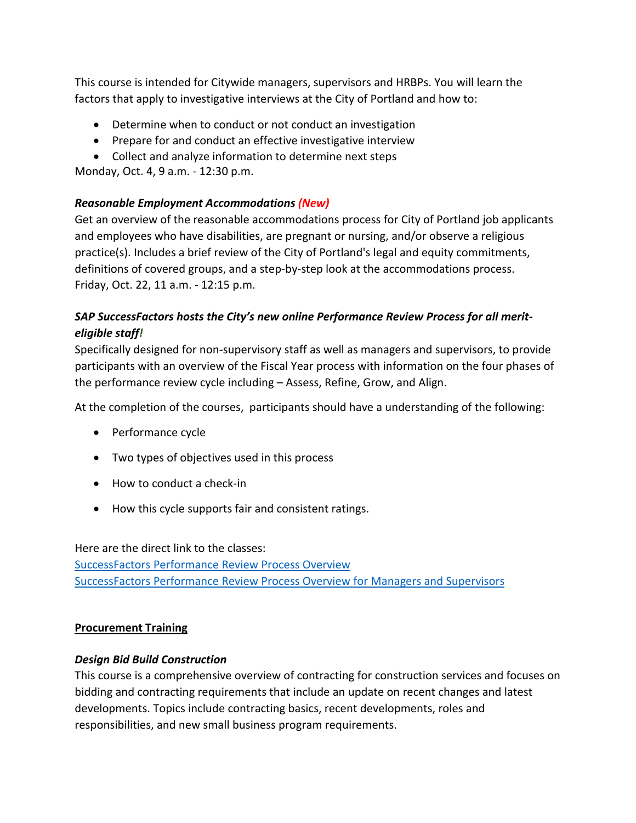This course is intended for Citywide managers, supervisors and HRBPs. You will learn the factors that apply to investigative interviews at the City of Portland and how to:

- Determine when to conduct or not conduct an investigation
- Prepare for and conduct an effective investigative interview
- Collect and analyze information to determine next steps

Monday, Oct. 4, 9 a.m. - 12:30 p.m.

# *Reasonable Employment Accommodations (New)*

Get an overview of the reasonable accommodations process for City of Portland job applicants and employees who have disabilities, are pregnant or nursing, and/or observe a religious practice(s). Includes a brief review of the City of Portland's legal and equity commitments, definitions of covered groups, and a step-by-step look at the accommodations process. Friday, Oct. 22, 11 a.m. - 12:15 p.m.

# *SAP SuccessFactors hosts the City's new online Performance Review Process for all meriteligible staff!*

Specifically designed for non-supervisory staff as well as managers and supervisors, to provide participants with an overview of the Fiscal Year process with information on the four phases of the performance review cycle including – Assess, Refine, Grow, and Align.

At the completion of the courses, participants should have a understanding of the following:

- Performance cycle
- Two types of objectives used in this process
- How to conduct a check-in
- How this cycle supports fair and consistent ratings.

Here are the direct link to the classes: [SuccessFactors Performance Review Process Overview](https://cityofport.plateau.com/learning/user/common/viewItemDetails.do?OWASP_CSRFTOKEN=DU90-LX7U-MJFA-R3RR-74UK-2I97-WO9L-P1RW&componentID=29037&componentTypeID=ELRN&fromSF=Y&revisionDate=1621295700000&menuGroup=Learning&menuItem=Cur&fromDeepLink=true&hideItemDetailsBackLink=true) [SuccessFactors Performance Review Process Overview for Managers and Supervisors](https://cityofport.plateau.com/learning/user/deeplink.do?OWASP_CSRFTOKEN=52B6-NP4F-RXCB-ZUY3-124U-DEBZ-IMIS-A678&linkId=ITEM_DETAILS&componentID=29040&componentTypeID=ELRN&fromSF=Y&revisionDate=1621298220000)

## **Procurement Training**

## *Design Bid Build Construction*

This course is a comprehensive overview of contracting for construction services and focuses on bidding and contracting requirements that include an update on recent changes and latest developments. Topics include contracting basics, recent developments, roles and responsibilities, and new small business program requirements.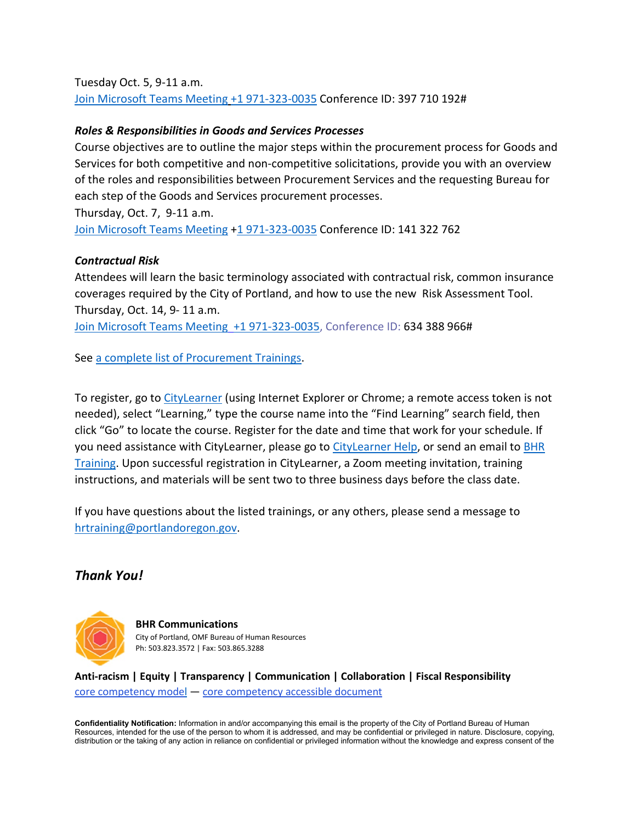Tuesday Oct. 5, 9-11 a.m. [Join Microsoft Teams Meeting](https://teams.microsoft.com/l/meetup-join/19%3ameeting_NjIxOTQ5ZjAtMGMzYi00ODQ1LWIwMjQtNjU4Yjg4YzFkOTY5%40thread.v2/0?context=%7b%22Tid%22%3a%22636d7808-73c9-41a7-97aa-8c4733642141%22%2c%22Oid%22%3a%2286b2ae6e-2fe6-44ca-9974-4b60b2e2cd99%22%7d) [+1 971-323-0035](tel:+19713230035,,397710192) Conference ID: 397 710 192#

#### *Roles & Responsibilities in Goods and Services Processes*

Course objectives are to outline the major steps within the procurement process for Goods and Services for both competitive and non-competitive solicitations, provide you with an overview of the roles and responsibilities between Procurement Services and the requesting Bureau for each step of the Goods and Services procurement processes.

Thursday, Oct. 7, 9-11 a.m.

[Join Microsoft Teams Meeting](https://teams.microsoft.com/l/meetup-join/19%3ameeting_NTA0NzYwY2ItNTU1MS00MTA0LWE1ZWItZjZlODdmOTJmZmMw%40thread.v2/0?context=%7b%22Tid%22%3a%22636d7808-73c9-41a7-97aa-8c4733642141%22%2c%22Oid%22%3a%2286b2ae6e-2fe6-44ca-9974-4b60b2e2cd99%22%7d) [+1 971-323-0035](tel:+19713230035,,141322762) Conference ID: 141 322 762

#### *Contractual Risk*

Attendees will learn the basic terminology associated with contractual risk, common insurance coverages required by the City of Portland, and how to use the new Risk Assessment Tool. Thursday, Oct. 14, 9- 11 a.m.

[Join Microsoft Teams Meeting](https://teams.microsoft.com/l/meetup-join/19%3ameeting_ZjhkNmE5Y2EtODgyZS00NGQ4LTkxZGEtMDY1ZTE4YzdlYmZh%40thread.v2/0?context=%7b%22Tid%22%3a%22636d7808-73c9-41a7-97aa-8c4733642141%22%2c%22Oid%22%3a%2286b2ae6e-2fe6-44ca-9974-4b60b2e2cd99%22%7d) [+1 971-323-0035,](tel:+19713230035,,634388966) Conference ID: 634 388 966#

See [a complete list of Procurement Trainings.](https://www.portlandoregon.gov/brfs/article/780678)

To register, go to [CityLearner](https://www.portlandoregon.gov/sf) (using Internet Explorer or Chrome; a remote access token is not needed), select "Learning," type the course name into the "Find Learning" search field, then click "Go" to locate the course. Register for the date and time that work for your schedule. If you need assistance with CityLearner, please go to [CityLearner Help,](https://www.portlandoregon.gov/bhr/69963) or send an email to [BHR](mailto:hrtraining@portlandoregon.gov)  [Training.](mailto:hrtraining@portlandoregon.gov) Upon successful registration in CityLearner, a Zoom meeting invitation, training instructions, and materials will be sent two to three business days before the class date.

If you have questions about the listed trainings, or any others, please send a message to [hrtraining@portlandoregon.gov.](mailto:hrtraining@portlandoregon.gov)

# *Thank You!*



**BHR Communications**  City of Portland, OMF Bureau of Human Resources Ph: 503.823.3572 | Fax: 503.865.3288

**Anti-racism | Equity | Transparency | Communication | Collaboration | Fiscal Responsibility** [core competency model](https://www.portlandoregon.gov/bhr/article/765248) — [core competency accessible document](https://www.portlandoregon.gov/bhr/article/765305)

**Confidentiality Notification:** Information in and/or accompanying this email is the property of the City of Portland Bureau of Human Resources, intended for the use of the person to whom it is addressed, and may be confidential or privileged in nature. Disclosure, copying, distribution or the taking of any action in reliance on confidential or privileged information without the knowledge and express consent of the